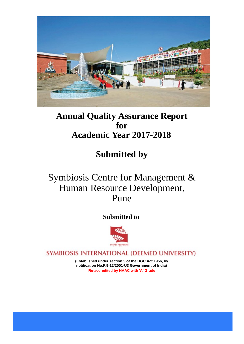

# **Annual Quality Assurance Report for Academic Year 2017-2018**

# **Submitted by**

# Symbiosis Centre for Management & Human Resource Development, Pune

# **Submitted to**



SYMBIOSIS INTERNATIONAL (DEEMED UNIVERSITY)

**(Established under section 3 of the UGC Act 1956, by notification No.F.9-12/2001-U3 Government of India) Re-accredited by NAAC with 'A' Grade**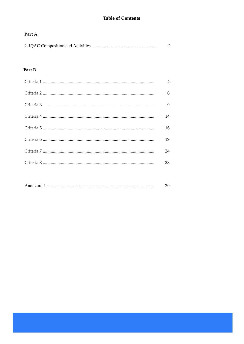# **Table of Contents**

## Part A

|--|--|

## Part B

| $\overline{\mathcal{A}}$ |
|--------------------------|
| 6                        |
| 9                        |
| 14                       |
| 16                       |
| 19                       |
| 24                       |
| 28                       |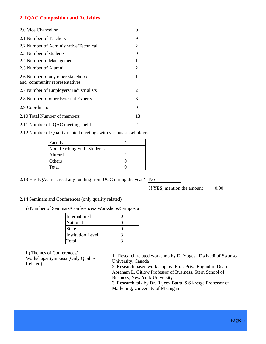## **2. IQAC Composition and Activities**

| 2.0 Vice Chancellor                                                  |                   |
|----------------------------------------------------------------------|-------------------|
| 2.1 Number of Teachers                                               | 9                 |
| 2.2 Number of Administrative/Technical                               | 2                 |
| 2.3 Number of students                                               | $\mathbf{\Omega}$ |
| 2.4 Number of Management                                             | 1                 |
| 2.5 Number of Alumni                                                 | 2                 |
| 2.6 Number of any other stakeholder<br>and community representatives | 1                 |
| 2.7 Number of Employers/ Industrialists                              | 2                 |
| 2.8 Number of other External Experts                                 | 3                 |
| 2.9 Coordinator                                                      | 0                 |
| 2.10 Total Number of members                                         | 13                |
| 2.11 Number of IQAC meetings held                                    | 2                 |

2.12 Number of Quality related meetings with various stakeholders

| Faculty                     |  |
|-----------------------------|--|
| Non-Teaching Staff Students |  |
| Alumni                      |  |
| <b>Others</b>               |  |
| <b>Total</b>                |  |
|                             |  |

2.13 Has IQAC received any funding from UGC during the year?  $\boxed{\text{No}}$ 

If YES, mention the amount  $\vert$  0.00

2.14 Seminars and Conferences (only quality related)

i) Number of Seminars/Conferences/ Workshops/Symposia

| International            |  |
|--------------------------|--|
| National                 |  |
| <b>State</b>             |  |
| <b>Institution Level</b> |  |
| Total                    |  |

ii) Themes of Conferences/

Workshops/Symposia (Only Quality Related)

1. Research related workshop by Dr Yogesh Dwivedi of Swansea University, Canada

2. Research based workshop by Prof. Priya Raghubir, Dean Abraham L. Gitlow Professor of Business, Stern School of Business, New York University

3. Research talk by Dr. Rajeev Batra, S S kresge Professor of Marketing, University of Michigan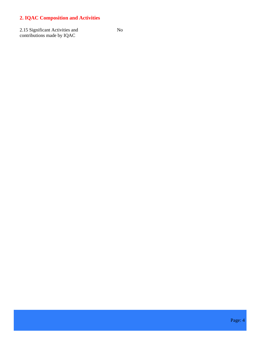# **2. IQAC Composition and Activities**

2.15 Significant Activities and contributions made by IQAC

No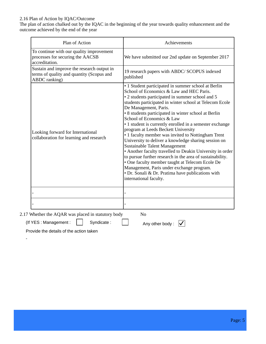#### 2.16 Plan of Action by IQAC/Outcome

The plan of action chalked out by the IQAC in the beginning of the year towards quality enhancement and the outcome achieved by the end of the year

| Plan of Action                                                                                           | Achievements                                                                                                                                                                                                                                                                                                                                                                                                                                                                                                                                                                                                                                                                                                                                                                                                                                                                                   |
|----------------------------------------------------------------------------------------------------------|------------------------------------------------------------------------------------------------------------------------------------------------------------------------------------------------------------------------------------------------------------------------------------------------------------------------------------------------------------------------------------------------------------------------------------------------------------------------------------------------------------------------------------------------------------------------------------------------------------------------------------------------------------------------------------------------------------------------------------------------------------------------------------------------------------------------------------------------------------------------------------------------|
| To continue with our quality improvement<br>processes for securing the AACSB<br>accreditation.           | We have submitted our 2nd update on September 2017                                                                                                                                                                                                                                                                                                                                                                                                                                                                                                                                                                                                                                                                                                                                                                                                                                             |
| Sustain and improve the research output in<br>terms of quality and quantity (Scopus and<br>ABDC ranking) | 19 research papers with ABDC/SCOPUS indexed<br>published                                                                                                                                                                                                                                                                                                                                                                                                                                                                                                                                                                                                                                                                                                                                                                                                                                       |
| Looking forward for International<br>collaboration for learning and research                             | • 1 Student participated in summer school at Berlin<br>School of Economics & Law and HEC Paris.<br>• 2 students participated in summer school and 5<br>students participated in winter school at Telecom Ecole<br>De Management, Paris.<br>• 8 students participated in winter school at Berlin<br>School of Economics & Law<br>• 1 student is currently enrolled in a semester exchange<br>program at Leeds Beckett University<br>• 1 faculty member was invited to Nottingham Trent<br>University to deliver a knowledge sharing session on<br><b>Sustainable Talent Management</b><br>• Another faculty travelled to Deakin University in order<br>to pursue further research in the area of sustainability.<br>• One faculty member taught at Telecom Ecole De<br>Management, Paris under exchange program.<br>• Dr. Sonali & Dr. Pratima have publications with<br>international faculty. |
|                                                                                                          |                                                                                                                                                                                                                                                                                                                                                                                                                                                                                                                                                                                                                                                                                                                                                                                                                                                                                                |
|                                                                                                          |                                                                                                                                                                                                                                                                                                                                                                                                                                                                                                                                                                                                                                                                                                                                                                                                                                                                                                |

Provide the details of the action taken

-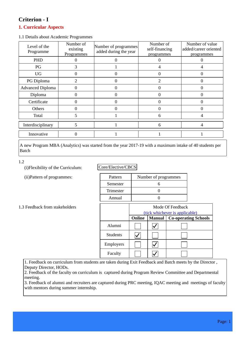# **Criterion - I**

### **1. Curricular Aspects**

1.1 Details about Academic Programmes

| Level of the<br>Programme | Number of<br>existing<br>Programmes | Number of programmes<br>added during the year | Number of<br>self-financing<br>programmes | Number of value<br>added/career oriented<br>programmes |
|---------------------------|-------------------------------------|-----------------------------------------------|-------------------------------------------|--------------------------------------------------------|
| PHD                       |                                     |                                               |                                           |                                                        |
| PG                        | 3                                   |                                               |                                           |                                                        |
| <b>UG</b>                 |                                     | 0                                             | 0                                         |                                                        |
| PG Diploma                | $\mathcal{D}_{\mathcal{A}}$         |                                               | $\mathcal{D}_{\mathcal{A}}$               |                                                        |
| <b>Advanced Diploma</b>   |                                     |                                               |                                           |                                                        |
| Diploma                   |                                     | 0                                             | 0                                         |                                                        |
| Certificate               |                                     | 0                                             | 0                                         |                                                        |
| Others                    |                                     |                                               |                                           |                                                        |
| Total                     |                                     |                                               | 6                                         |                                                        |
| Interdisciplinary         |                                     |                                               | 6                                         |                                                        |
| Innovative                |                                     |                                               |                                           |                                                        |

A new Program MBA (Analytics) was started from the year 2017-19 with a maximum intake of 40 students per Batch

1.2

(i)Flexibility of the Curriculum:

(ii)Pattern of programmes:

Core/Elective/CBCS

| Pattern   | Number of programmes |
|-----------|----------------------|
| Semester  |                      |
| Trimester |                      |
| Annual    |                      |

1.3 Feedback from stakeholders

|                 | Mode Of Feedback |               |                                |
|-----------------|------------------|---------------|--------------------------------|
|                 |                  |               | (tick whichever is applicable) |
|                 | Online           | <b>Manual</b> | <b>Co-operating Schools</b>    |
| Alumni          |                  |               |                                |
| <b>Students</b> |                  |               |                                |
| Employers       |                  |               |                                |
| Faculty         |                  |               |                                |

1. Feedback on curriculum from students are taken during Exit Feedback and Batch meets by the Director , Deputy Director, HODs.

2. Feedback of the faculty on curriculum is captured during Program Review Committee and Departmental meeting.

3. Feedback of alumni and recruiters are captured during PRC meeting, IQAC meeting and meetings of faculty with mentors during summer internship.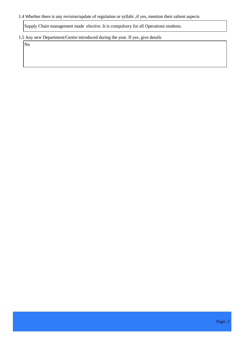#### 1.4 Whether there is any revision/update of regulation or syllabi ,if yes, mention their salient aspects

Supply Chain management made elective. It is compulsory for all Operations students.

#### 1.5 Any new Department/Centre introduced during the year. If yes, give details

No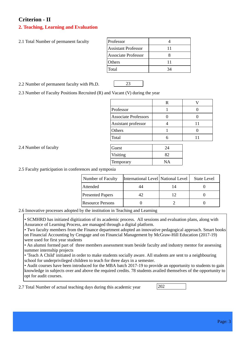# **Criterion - II**

## **2. Teaching, Learning and Evaluation**

| 2.1 Total Number of permanent faculty | Professor |
|---------------------------------------|-----------|
|---------------------------------------|-----------|

| Professor           |    |
|---------------------|----|
| Assistant Professor | 11 |
| Associate Professor |    |
| Others              | 11 |
| Total               |    |

2.2 Number of permanent faculty with Ph.D. 23

2.3 Number of Faculty Positions Recruited (R) and Vacant (V) during the year

|                             | R  |    |
|-----------------------------|----|----|
| Professor                   |    |    |
| <b>Associate Professors</b> |    |    |
| Assistant professor         |    | 11 |
| Others                      |    |    |
| Total                       | 6  | 11 |
|                             |    |    |
| Guest                       | 24 |    |
| Visiting                    | 82 |    |
| Temporary                   | NA |    |

2.4 Number of faculty

2.5 Faculty participation in conferences and symposia

| <b>Number of Faculty</b> | International Level National Level | <b>State Level</b> |
|--------------------------|------------------------------------|--------------------|
| Attended                 | 44                                 |                    |
| <b>Presented Papers</b>  | 42                                 |                    |
| Resource Persons         |                                    |                    |

#### 2.6 Innovative processes adopted by the institution in Teaching and Learning

• SCMHRD has initiated digitization of its academic process. All sessions and evaluation plans, along with Assurance of Learning Process, are managed through a digital platform.

• Two faculty members from the Finance department adopted an innovative pedagogical approach. Smart books on Financial Accounting by Cengage and on Financial Management by McGraw-Hill Education (2017-19) were used for first year students

• An alumni formed part of three members assessment team beside faculty and industry mentor for assessing summer internship projects

• 'Teach A Child' initiated in order to make students socially aware. All students are sent to a neighbouring school for underprivileged children to teach for three days in a semester.

• Audit courses have been introduced for the MBA batch 2017-19 to provide an opportunity to students to gain knowledge in subjects over and above the required credits. 78 students availed themselves of the opportunity to opt for audit courses.

2.7 Total Number of actual teaching days during this academic year 202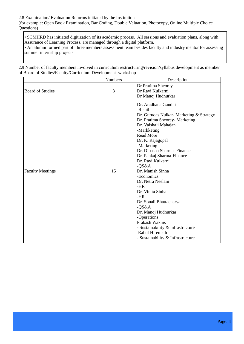#### 2.8 Examination/ Evaluation Reforms initiated by the Institution (for example: Open Book Examination, Bar Coding, Double Valuation, Photocopy, Online Multiple Choice Questions)

• SCMHRD has initiated digitization of its academic process. All sessions and evaluation plans, along with Assurance of Learning Process, are managed through a digital platform.

• An alumni formed part of three members assessment team besides faculty and industry mentor for assessing summer internship projects

2.9 Number of faculty members involved in curriculum restructuring/revision/syllabus development as member of Board of Studies/Faculty/Curriculum Development workshop

|                         | <b>Numbers</b> | Description                                                                                                                                                                                                                                                                                                                                                                                                                                                                                                                                                                               |
|-------------------------|----------------|-------------------------------------------------------------------------------------------------------------------------------------------------------------------------------------------------------------------------------------------------------------------------------------------------------------------------------------------------------------------------------------------------------------------------------------------------------------------------------------------------------------------------------------------------------------------------------------------|
| <b>Board of Studies</b> | 3              | Dr Pratima Sheorey<br>Dr Ravi Kulkarni<br>Dr Manoj Hudnurkar                                                                                                                                                                                                                                                                                                                                                                                                                                                                                                                              |
| <b>Faculty Meetings</b> | 15             | Dr. Aradhana Gandhi<br>-Retail<br>Dr. Gurudas Nulkar-Marketing & Strategy<br>Dr. Pratima Sheorey- Marketing<br>Dr. Vaishali Mahajan<br>-Markketing<br><b>Read More</b><br>Dr. K. Rajagopal<br>-Marketing<br>Dr. Dipasha Sharma-Finance<br>Dr. Pankaj Sharma-Finance<br>Dr. Ravi Kulkarni<br>$-QS&A$<br>Dr. Manish Sinha<br>-Economics<br>Dr. Netra Neelam<br>$-HR$<br>Dr. Vinita Sinha<br>$-HR$<br>Dr. Sonali Bhattacharya<br>$-QS&A$<br>Dr. Manoj Hudnurkar<br>-Operations<br>Prakash Waknis<br>- Sustainability & Infrastructure<br>Rahul Hiremath<br>- Sustainability & Infrastructure |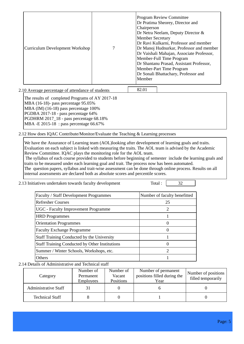| Curriculum Development Workshop |  | <b>Program Review Committee</b><br>Dr Pratima Sheorey, Director and<br>Chairperson<br>Dr Netra Neelam, Deputy Director $\&$<br><b>Member Secretary</b><br>Dr Ravi Kulkarni, Professor and member<br>Dr Manoj Hudnurkar, Professor and member<br>Dr Vaishali Mahajan, Associate Professor,<br>Member-Full Time Program<br>Dr Shantanu Prasad, Assistant Professor,<br>Member-Part Time Program<br>Dr Sonali Bhattachary, Professor and<br>Member |
|---------------------------------|--|-------------------------------------------------------------------------------------------------------------------------------------------------------------------------------------------------------------------------------------------------------------------------------------------------------------------------------------------------------------------------------------------------------------------------------------------------|
|---------------------------------|--|-------------------------------------------------------------------------------------------------------------------------------------------------------------------------------------------------------------------------------------------------------------------------------------------------------------------------------------------------------------------------------------------------------------------------------------------------|

2.10 Average percentage of attendance of students 82.01 The results of completed Programs of AY 2017-18 MBA (16-18)- pass percentage 95.05% MBA (IM) (16-18) pass percentage 100% PGDBA 2017-18 - pass percentage 64% PGDHRM 2017\_18 - pass percentage 68.18% MBA -E 2015-18 : pass percentage 66.67%

2.12 How does IQAC Contribute/Monitor/Evaluate the Teaching & Learning processes

We have the Assurance of Learning team (AOL)looking after development of learning goals and traits. Evaluation on each subject is linked with measuring the traits. The AOL team is advised by the Academic Review Committee. IQAC plays the monitoring role for the AOL team.

 The syllabus of each course provided to students before beginning of semester include the learning goals and traits to be measured under each learning goal and trait. The process now has been automated.

The question papers, syllabus and trait-wise assessment can be done through online process. Results on all internal assessments are declared both as absolute scores and percentile scores.

| 2.13 Initiatives undertaken towards faculty development | Total : | 32 |
|---------------------------------------------------------|---------|----|
|---------------------------------------------------------|---------|----|

| Number of faculty benefitted |
|------------------------------|
| 25                           |
| 2                            |
|                              |
|                              |
| 0                            |
|                              |
| $\theta$                     |
| $\mathcal{D}_{\mathcal{L}}$  |
|                              |
|                              |

2.14 Details of Administrative and Technical staff

| Category                    | Number of<br>Permanent<br><b>Employees</b> | Number of<br>Vacant<br><b>Positions</b> | Number of permanent<br>positions filled during the<br>Year | Number of positions<br>filled temporarily |
|-----------------------------|--------------------------------------------|-----------------------------------------|------------------------------------------------------------|-------------------------------------------|
| <b>Administrative Staff</b> |                                            |                                         |                                                            |                                           |
| <b>Technical Staff</b>      |                                            |                                         |                                                            |                                           |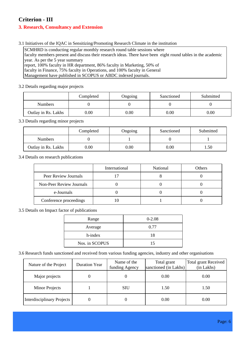# **Criterion - III**

## **3. Research, Consultancy and Extension**

3.1 Initiatives of the IQAC in Sensitizing/Promoting Research Climate in the institution

SCMHRD is conducting regular monthly research round table sessions where faculty members present and discuss their research ideas. There have been eight round tables in the academic year. As per the 5 year summary report, 100% faculty in HR department, 86% faculty in Marketing, 50% of faculty in Finance, 75% faculty in Operations, and 100% faculty in General Management have published in SCOPUS or ABDC indexed journals.

3.2 Details regarding major projects

|                     | Completed | Ongoing | Sanctioned | Submitted |
|---------------------|-----------|---------|------------|-----------|
| <b>Numbers</b>      |           |         |            |           |
| Outlay in Rs. Lakhs | 0.00      | 0.00    | 0.00       | 0.00      |

3.3 Details regarding minor projects

|                     | Completed | Ongoing | Sanctioned | Submitted |
|---------------------|-----------|---------|------------|-----------|
| <b>Numbers</b>      |           |         |            |           |
| Outlay in Rs. Lakhs | $0.00\,$  | 0.00    | $0.00\,$   | . 50      |

3.4 Details on research publications

|                          | International | National | Others |
|--------------------------|---------------|----------|--------|
| Peer Review Journals     |               |          |        |
| Non-Peer Review Journals |               |          |        |
| e-Journals               |               |          |        |
| Conference proceedings   |               |          |        |

3.5 Details on Impact factor of publications

| Range          | $0 - 2.08$ |
|----------------|------------|
| Average        | 0.77       |
| h-index        | 18         |
| Nos. in SCOPUS | 15         |

3.6 Research funds sanctioned and received from various funding agencies, industry and other organisations

| Nature of the Project             | <b>Duration Year</b> | Name of the<br>funding Agency | Total grant<br>sanctioned (in Lakhs) | <b>Total grant Received</b><br>(in Lakhs) |
|-----------------------------------|----------------------|-------------------------------|--------------------------------------|-------------------------------------------|
| Major projects                    | 0                    |                               | 0.00                                 | 0.00                                      |
| <b>Minor Projects</b>             |                      | <b>SIU</b>                    | 1.50                                 | 1.50                                      |
| <b>Interdisciplinary Projects</b> |                      |                               | 0.00                                 | 0.00                                      |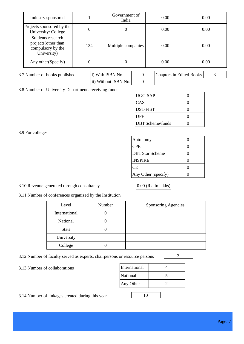| Industry sponsored                                                            |     | Government of<br>India |   | 0.00                            | 0.00 |
|-------------------------------------------------------------------------------|-----|------------------------|---|---------------------------------|------|
| Projects sponsored by the<br>University/College                               | 0   | 0                      |   | 0.00                            | 0.00 |
| Students research<br>projects (other than<br>compulsory by the<br>University) | 134 | Multiple companies     |   | 0.00                            | 0.00 |
| Any other (Specify)                                                           |     | 0                      |   | 0.00                            | 0.00 |
| 3.7 Number of books published                                                 |     | i) With ISBN No.       | 0 | <b>Chapters in Edited Books</b> | 3    |

ii) Without ISBN No.  $\theta$ 0 Chapters in Edited Books | 3

3.8 Number of University Departments receiving funds

| UGC-SAP                 |  |
|-------------------------|--|
| CAS                     |  |
| <b>DST-FIST</b>         |  |
| <b>DPE</b>              |  |
| <b>DBT</b> Scheme/funds |  |

3.9 For colleges

| Autonomy               |  |
|------------------------|--|
| <b>CPE</b>             |  |
| <b>DBT</b> Star Scheme |  |
| <b>INSPIRE</b>         |  |
| CЕ                     |  |
| Any Other (specify)    |  |

## 3.10 Revenue generated through consultancy  $0.00$  (Rs. In lakhs)

3.11 Number of conferences organized by the Institution

| Level         | Number | Sponsoring Agencies |
|---------------|--------|---------------------|
| International |        |                     |
| National      |        |                     |
| <b>State</b>  |        |                     |
| University    |        |                     |
| College       |        |                     |

3.12 Number of faculty served as experts, chairpersons or resource persons 2

3.13 Number of collaborations

| International |  |
|---------------|--|
| National      |  |
| Any Other     |  |
|               |  |

3.14 Number of linkages created during this year 10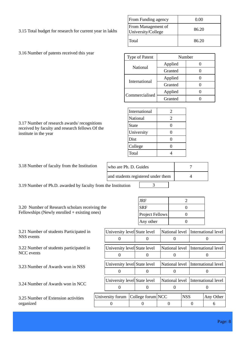| 3.15 Total budget for research for current year in lakhs |  |
|----------------------------------------------------------|--|
|----------------------------------------------------------|--|

| <b>From Funding agency</b>               | 0.00  |
|------------------------------------------|-------|
| From Management of<br>University/College | 86.20 |
| Total                                    | 86.20 |

| 3.16 Number of patents received this year |  |
|-------------------------------------------|--|
|-------------------------------------------|--|

| Type of Patent | Number  |  |
|----------------|---------|--|
| National       | Applied |  |
|                | Granted |  |
| International  | Applied |  |
|                | Granted |  |
| Commercialised | Applied |  |
|                | Granted |  |

| International | 2 |
|---------------|---|
| National      | 2 |
| <b>State</b>  |   |
| University    |   |
| Dist          |   |
| College       |   |
| Total         |   |

| 3.17 Number of research awards/recognitions<br>received by faculty and research fellows Of the | <b>State</b> |  |
|------------------------------------------------------------------------------------------------|--------------|--|
| institute in the year                                                                          | University   |  |
|                                                                                                |              |  |

| 3.18 Number of faculty from the Institution | who are Ph. D. Guides              |  |
|---------------------------------------------|------------------------------------|--|
|                                             | and students registered under them |  |

3.19 Number of Ph.D. awarded by faculty from the Institution 3

3.20 Number of Research scholars receiving the Fellowships (Newly enrolled + existing ones)

| <b>JRF</b>      |  |
|-----------------|--|
| <b>SRF</b>      |  |
| Project Fellows |  |
| Any other       |  |

| University level State level       |  |  |  |                |            | National level International level |                     |
|------------------------------------|--|--|--|----------------|------------|------------------------------------|---------------------|
|                                    |  |  |  |                |            |                                    |                     |
| University level State level       |  |  |  | National level |            |                                    | International level |
|                                    |  |  |  |                |            |                                    |                     |
| University level State level       |  |  |  |                |            | National level International level |                     |
|                                    |  |  |  |                |            |                                    |                     |
| University level State level       |  |  |  | National level |            |                                    | International level |
|                                    |  |  |  |                |            |                                    |                     |
| University forum College forum NCC |  |  |  |                | <b>NSS</b> |                                    | Any Other           |
|                                    |  |  |  |                |            |                                    | 6                   |
|                                    |  |  |  |                |            |                                    |                     |

|  | 2.21 Mondeau of students Deutschested in |  |
|--|------------------------------------------|--|

3.21 Number of students Participated in NSS events

3.22 Number of students participated in NCC events

3.23 Number of Awards won in NSS

3.24 Number of Awards won in NCC

3.25 Number of Extension activities organized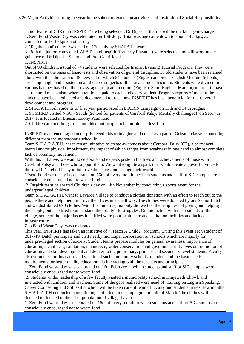Junior teams of CSR club INSPIRIT are being selected. Dr Dipasha Sharma will be the faculty-in-charge 1. Zero Food Waste Day was celebrated on 16th July. Total wastage came down to about 14.5 kgs, as compared to 18-19 kgs on other days.

2. 'Tag the band' contest was held on 17th July by SHAPATH team.

3. Both the junior teams of SHAPATH and Inspirit (formerly Prayatna) were selected and will work under guidance of Dr Dipasha Sharma and Prof Gauri Joshi

1. INSPIRIT

Out of 90 children, a total of 74 students were selected for Inspirit Evening Tutorial Program. They were shortlisted on the basis of basic tests and observation of general discipline. 39 old students have been retained along with the admission of 35 new, out of which 54 students (English and Semi-English Medium Schools) are being taught and assisted on all the core subjects of their academic curriculum. Students were divided in various batches based on their class, age group and medium (English, Semi-English, Marathi) in order to have a structured mechanism where attention is paid to each and every student. Progress reports of most of the students have been collected and documented to track how INSPIRIT has been beneficial for their overall development and progress.

2. SHAPATH: All students of first year participated in E.A.R.N campaign on 13th and 14 th August 1. SCMHRD visited NGO - Savali (School for patients of Cerebral Palsy/ Mentally challenged) on Sept 7th 2017. It is located in Bhusari colony Paud road.

2. Children are not things to be moulded but people to be unfolded - Jess Lair

INSPIRIT team encouraged underprivileged kids to imagine and create as a part of Origami classes, something different from the monotonous schedule!

Team S.H.A.P.A.T.H. has taken an initiative to create awareness about Cerebral Palsy (CP), a permanent mental and/or physical impairment, the impact of which ranges from weakness in one hand to almost complete lack of voluntary movement.

With this initiative, we want to celebrate and express pride in the lives and achievements of those with Cerebral Palsy and those who support them. We want to ignite a spark that would create a powerful voice for those with Cerebral Palsy to improve their lives and change their world.

1.Zero Food waste day is celebrated on 16th of every month in which students and staff of SIC campus are consciously encouraged not to waste food

 2. Inspirit team celebrated Children's day on 14th November by conducting a sports event for the underprivileged children

Team S.H.A.P.A.T.H. went to Lavarde Village to conduct a clothes donation with an effort to reach out to the people there and help them improve their lives in a small way. The clothes were donated by our Senior Batch and we distributed 690 clothes. With this initiative, not only did we feel the happiness of giving and helping the people, but also tried to understand their daily life struggles. On interaction with the residents of the village, some of the major issues identified were poor healthcare and sanitation facilities and lack of infrastructure

Zeo Food Waste Day was celebrated

This year, INSPIRIT has taken an initiative of ??Teach A Child?" program. During this event each student of 2017-19 Batch participate and visit nearby municipal corporation run schools which are majorly for underprivileged section of society. Student teams prepare modules on general awareness, importance of education, cleanliness, sanitation, mannerism, water conservation and government initiatives on promotion of education and skill development and deliver to the preprimary, primary and secondary level students. Faculty also volunteer for this cause and visit to all such community schools to understand the basic needs, requirements for better quality education via interacting with the teachers and principals.

1. Zero Food waste day was celebrated on 16th February in which students and staff of SIC campus were consciously encouraged not to waste food

 2. Students under leadership of a few faculty visited a municipality school in Hinjewadi Chowk and interacted with children and teachers. Some of the gaps realized were need of training on English Speaking, Career Counseling and Soft skills which will be taken care of team of faculty and students in next few months S.H.A.P.A.T.H conducted a month long cloth donation campaign in month of March. The clothes will be donated to donated to the tribal population of village Lavarde

1. Zero Food waste day is celebrated on 16th of every month in which students and staff of SIC campus are consciously encouraged not to waste food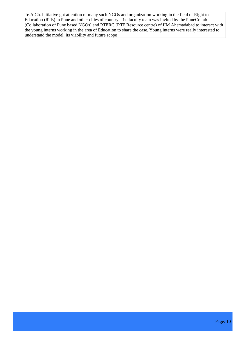Te.A.Ch. initiative got attention of many such NGOs and organization working in the field of Right to Education (RTE) in Pune and other cities of country. The faculty team was invited by the PuneCollab (Collaboration of Pune based NGOs) and RTERC (RTE Resource centre) of IIM Ahemadabad to interact with the young interns working in the area of Education to share the case. Young interns were really interested to understand the model, its viability and future scope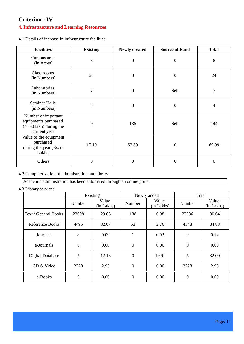# **Criterion - IV**

## **4. Infrastructure and Learning Resources**

4.1 Details of increase in infrastructure facilities

| <b>Facilities</b>                                                                   | <b>Existing</b> | <b>Newly created</b> | <b>Source of Fund</b> | <b>Total</b>     |
|-------------------------------------------------------------------------------------|-----------------|----------------------|-----------------------|------------------|
| Campus area<br>(in Acres)                                                           | 8               | $\boldsymbol{0}$     | $\boldsymbol{0}$      | 8                |
| Class rooms<br>(in Numbers)                                                         | 24              | $\boldsymbol{0}$     | $\boldsymbol{0}$      | 24               |
| Laboratories<br>(in Numbers)                                                        | 7               | $\boldsymbol{0}$     | Self                  | $\overline{7}$   |
| <b>Seminar Halls</b><br>(in Numbers)                                                | 4               | $\boldsymbol{0}$     | $\boldsymbol{0}$      | $\overline{4}$   |
| Number of important<br>equipments purchased<br>1-0 lakh) during the<br>current year | 9               | 135                  | Self                  | 144              |
| Value of the equipment<br>purchased<br>during the year (Rs. in<br>Lakhs)            | 17.10           | 52.89                | $\overline{0}$        | 69.99            |
| Others                                                                              | 0               | $\boldsymbol{0}$     | $\overline{0}$        | $\boldsymbol{0}$ |

4.2 Computerization of administration and library

Academic administration has been automated through an online portal

4.3 Library services

|                      | Existing         |                     |                  | Newly added         | Total            |                     |
|----------------------|------------------|---------------------|------------------|---------------------|------------------|---------------------|
|                      | Number           | Value<br>(in Lakhs) | Number           | Value<br>(in Lakhs) | Number           | Value<br>(in Lakhs) |
| Text / General Books | 23098            | 29.66               | 188              | 0.98                | 23286            | 30.64               |
| Reference Books      | 4495             | 82.07               | 53               | 2.76                | 4548             | 84.83               |
| Journals             | 8                | 0.09                | $\mathbf{1}$     | 0.03                | 9                | 0.12                |
| e-Journals           | $\boldsymbol{0}$ | 0.00                | $\boldsymbol{0}$ | 0.00                | $\boldsymbol{0}$ | 0.00                |
| Digital Database     | 5                | 12.18               | $\overline{0}$   | 19.91               | 5                | 32.09               |
| CD & Video           | 2228             | 2.95                | $\boldsymbol{0}$ | 0.00                | 2228             | 2.95                |
| e-Books              | $\boldsymbol{0}$ | 0.00                | $\mathbf{0}$     | 0.00                | $\boldsymbol{0}$ | 0.00                |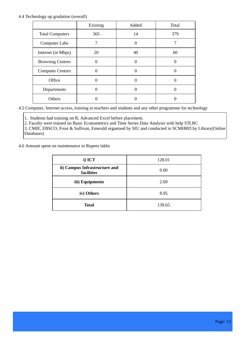#### 4.4 Technology up gradation (overall)

|                         | Existing | Added    | Total |
|-------------------------|----------|----------|-------|
| <b>Total Computers</b>  | 365      | 14       | 379   |
| <b>Computer Labs</b>    | 7        | $\Omega$ |       |
| Internet (in Mbps)      | 20       | 40       | 60    |
| <b>Browsing Centres</b> |          |          |       |
| <b>Computer Centres</b> |          |          |       |
| Office                  | ſ        |          |       |
| Departments             |          |          |       |
| Others                  |          |          |       |

4.5 Computer, Internet access, training to teachers and students and any other programme for technology

 upgradation (Networking, e-Governance etc.) 1. Students had training on R, Advanced Excel before placement.

2. Faculty were trained on Basic Econometrics and Time Series Data Analysis with help STLRC

3. CMIE, EBSCO, Frost & Sullivan, Emerald organised by SIU and conducted in SCMHRD by Library(Online Databases)

4.6 Amount spent on maintenance in Rupees lakhs

| $i)$ ICT                                    | 128.01 |  |
|---------------------------------------------|--------|--|
| ii) Campus Infrastructure and<br>facilities | 0.00   |  |
| iii) Equipments                             | 2.69   |  |
| iv) Others                                  | 8.95   |  |
| <b>Total</b>                                | 139.65 |  |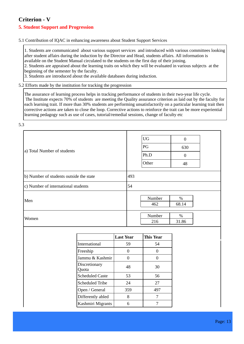# **Criterion - V**

## **5. Student Support and Progression**

#### 5.1 Contribution of IQAC in enhancing awareness about Student Support Services

1. Students are communicated about various support services and introduced with various committees looking after student affairs during the induction by the Director and Head, students affairs. All information is available on the Student Manual circulated to the students on the first day of their joining.

2. Students are appraised about the learning traits on which they will be evaluated in various subjects at the beginning of the semester by the faculty.

3. Students are introduced about the available databases during induction.

5.2 Efforts made by the institution for tracking the progression

The assurance of learning process helps in tracking performance of students in their two-year life cycle. The Institute expects 70% of students are meeting the Quality assurance criterion as laid out by the faculty for each learning trait. If more than 30% students are performing unsatisfactorily on a particular learning trait then corrective actions are taken to close the loop. Corrective actions to reinforce the trait can be more experiential learning pedagogy such as use of cases, tutorial/remedial sessions, change of faculty etc

5.3

| a) Total Number of students             | <b>UG</b><br>$\mathbf{0}$<br>PG<br>630<br>Ph.D<br>$\overline{0}$<br>Other<br>48 |
|-----------------------------------------|---------------------------------------------------------------------------------|
| b) Number of students outside the state | 493                                                                             |
| c) Number of international students     | 54                                                                              |
| Men                                     | Number<br>$\%$<br>68.14<br>462                                                  |
| Women                                   | Number<br>$\%$<br>216<br>31.86                                                  |

|                        | <b>Last Year</b> | <b>This Year</b> |
|------------------------|------------------|------------------|
| International          | 59               | 54               |
| Freeship               | 0                |                  |
| Jammu & Kashmir        | 0                |                  |
| Discretionary<br>Quota | 48               | 30               |
| <b>Scheduled Caste</b> | 53               | 56               |
| <b>Scheduled Tribe</b> | 24               | 27               |
| Open / General         | 359              | 497              |
| Differently abled      | 8                |                  |
| Kashmiri Migrants      | 6                |                  |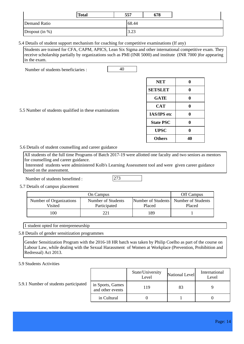|                  | <b>Total</b> | 557         | 678 |  |
|------------------|--------------|-------------|-----|--|
| Demand Ratio     |              | 68.44       |     |  |
| Dropout $(in %)$ |              | 222<br>ل∠.د |     |  |

5.4 Details of student support mechanism for coaching for competitive examinations (If any)

Students are trained for CFA, CAPM, APICS, Lean Six Sigma and other international competitive exam. They receive scholarship partially by organizations such as PMI (INR 5000) and institute (INR 7000 )for appearing in the exam.

Number of students beneficiaries :  $\vert$  40

| <b>NET</b>         | A  |
|--------------------|----|
| <b>SET/SLET</b>    |    |
| <b>GATE</b>        |    |
| CAT                |    |
| <b>IAS/IPS</b> etc |    |
| <b>State PSC</b>   |    |
| <b>UPSC</b>        |    |
| <b>Others</b>      | 40 |

5.5 Number of students qualified in these examinations

5.6 Details of student counselling and career guidance

All students of the full time Programs of Batch 2017-19 were allotted one faculty and two seniors as mentors for counselling and career guidance.

 Interested students were administered Kolb's Learning Assessment tool and were given career guidance based on the assessment.

Number of students benefitted :

5.7 Details of campus placement

| On Campus               |                    |        | Off Campus                              |
|-------------------------|--------------------|--------|-----------------------------------------|
| Number of Organizations | Number of Students |        | Number of Students   Number of Students |
| Visited                 | Participated       | Placed | Placed                                  |
| 100                     | 221                | 189    |                                         |

1 student opted for entrepreneurship

5.8 Details of gender sensitization programmes

Gender Sensitization Program with the 2016-18 HR batch was taken by Philip Coelho as part of the course on Labour Law, while dealing with the Sexual Harassment of Women at Workplace (Prevention, Prohibition and Redressal) Act 2013.

#### 5.9 Students Activities

#### 5.9.1 Number of students participated

|                                      | State/University<br>Level | National Level | International<br>Level |
|--------------------------------------|---------------------------|----------------|------------------------|
| in Sports, Games<br>and other events | 119                       | 83             |                        |
| in Cultural                          |                           |                |                        |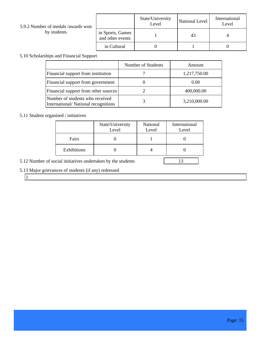| 5.9.2 Number of medals /awards won<br>by students |                                      | State/University<br>Level | National Level | International<br>Level |
|---------------------------------------------------|--------------------------------------|---------------------------|----------------|------------------------|
|                                                   | in Sports, Games<br>and other events |                           | 43             |                        |
|                                                   | in Cultural                          |                           |                |                        |

## 5.10 Scholarships and Financial Support

|                                                                        | Number of Students | Amount       |
|------------------------------------------------------------------------|--------------------|--------------|
| Financial support from institution                                     |                    | 1,217,750.00 |
| Financial support from government                                      |                    | 0.00         |
| Financial support from other sources                                   |                    | 400,000.00   |
| Number of students who received<br>International/National recognitions |                    | 3,210,000.00 |

## 5.11 Student organised / initiatives

|             | State/University<br>Level | National<br>Level | International<br>Level |
|-------------|---------------------------|-------------------|------------------------|
| Fairs       |                           |                   |                        |
| Exhibitions |                           |                   |                        |

5.12 Number of social initiatives undertaken by the students 13

## 5.13 Major grievances of students (if any) redressed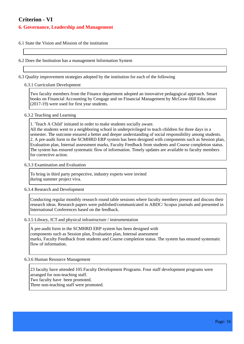# **Criterion - VI**

#### **6. Governance, Leadership and Management**

6.1 State the Vision and Mission of the institution

6.2 Does the Institution has a management Information System

6.3 Quality improvement strategies adopted by the institution for each of the following

#### 6.3.1 Curriculum Development

Two faculty members from the Finance department adopted an innovative pedagogical approach. Smart books on Financial Accounting by Cengage and on Financial Management by McGraw-Hill Education (2017-19) were used for first year students.

#### 6.3.2 Teaching and Learning

1. 'Teach A Child' initiated in order to make students socially aware.

All the students went to a neighboring school in underprivileged to teach children for three days in a semester. The outcome ensured a better and deeper understanding of social responsibility among students. 2. A pre-audit form in the SCMHRD ERP system has been designed with components such as Session plan, Evaluation plan, Internal assessment marks, Faculty Feedback from students and Course completion status. The system has ensured systematic flow of information. Timely updates are available to faculty members for corrective action.

#### 6.3.3 Examination and Evaluation

To bring in third party perspective, industry experts were invited during summer project viva.

#### 6.3.4 Research and Development

Conducting regular monthly research round table sessions where faculty members present and discuss their research ideas. Research papers were published/communicated in ABDC/ Scopus journals and presented in International Conferences based on the feedback.

#### 6.3.5 Library, ICT and physical infrastructure / instrumentation

A pre-audit form in the SCMHRD ERP system has been designed with components such as Session plan, Evaluation plan, Internal assessment marks, Faculty Feedback from students and Course completion status. The system has ensured systematic flow of information.

#### 6.3.6 Human Resource Management

23 faculty have attended 105 Faculty Development Programs. Four staff development programs were arranged for non-teaching staff. Two faculty have been promoted. Three non-teaching staff were promoted.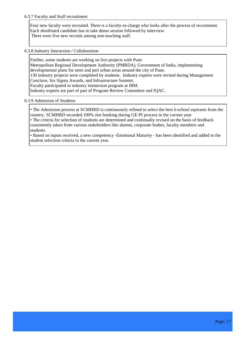#### 6.3.7 Faculty and Staff recruitment

Four new faculty were recruited. There is a faculty-in-charge who looks after the process of recruitment. Each shortlisted candidate has to take demo session followed by interview. There were five new recruits among non-teaching staff.

6.3.8 Industry Interaction / Collaboration

Further, some students are working on live projects with Pune Metropolitan Regional Development Authority (PMRDA), Government of India, implementing developmental plans for semi and peri urban areas around the city of Pune. 130 industry projects were completed by students. Industry experts were invited during Management Conclave, Six Sigma Awards, and Infrastructure Summit. Faculty participated in industry immersion program at IBM. Industry experts are part of part of Program Review Committee and IQAC.

#### 6.3.9 Admission of Students

• The Admission process at SCMHRD is continuously refined to select the best b-school aspirants from the country. SCMHRD recorded 100% slot booking during GE-PI process in the current year • The criteria for selection of students are determined and continually revised on the basis of feedback consistently taken from various stakeholders like alumni, corporate bodies, faculty members and students.

• Based on inputs received, a new competency -Emotional Maturity - has been identified and added to the student selection criteria in the current year.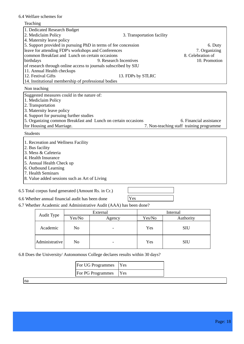#### 6.4 Welfare schemes for

### Teaching 1. Dedicated Research Budget 3. Transportation facility 4. Maternity leave policy 5. Support provided in pursuing PhD in terms of fee concession 6. Duty leave for attending FDP's workshops and Conferences 7. Organizing 7. Organizing common Breakfast and Lunch on certain occasions 8. Celebration of common Breakfast and Lunch on certain occasions 8. Celebration of birthdays 8. Celebration of  $\frac{9}{10}$ . Promotion 9. Research Incentives of research through online access to journals subscribed by SIU 11. Annual Health checkups<br>12. Festival Gifts 13. FDPs by STLRC 14. Institutional membership of professional bodies Non teaching Suggested measures could in the nature of: 1. Mediclaim Policy 2. Transportation 3. Maternity leave policy 4. Support for pursuing further studies 5. Organizing common Breakfast and Lunch on certain occasions 6. Financial assistance for Housing and Marriage. 7. Non-teaching staff training programme 7. Non-teaching staff training programme. Students 1. Recreation and Wellness Facility

2. Bus facility

3. Mess & Cafeteria

4. Health Insurance

5. Annual Health Check up

6. Outbound Learning

7. Health Seminars

8. Value added sessions such as Art of Living

6.5 Total corpus fund generated (Amount Rs. in Cr.)

| Yes |  |  |
|-----|--|--|
|     |  |  |

6.6 Whether annual financial audit has been done

6.7 Whether Academic and Administrative Audit (AAA) has been done?

| External       |        |                          | Internal |            |
|----------------|--------|--------------------------|----------|------------|
| Audit Type     | Yes/No | Agency                   | Yes/No   | Authority  |
| Academic       | No     | $\overline{\phantom{0}}$ | Yes      | <b>SIU</b> |
| Administrative | No     | $\overline{\phantom{0}}$ | Yes      | <b>SIU</b> |

6.8 Does the University/ Autonomous College declares results within 30 days?

| <b>IFor UG Programmes</b> | Y es |
|---------------------------|------|
| <b>For PG Programmes</b>  | Y es |

|na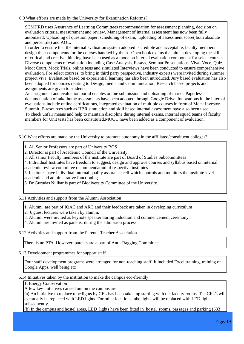#### 6.9 What efforts are made by the University for Examination Reforms?

SCMHRD uses Assurance of Learning Committees recommendation for assessment planning, decision on evaluation criteria, measurement and review. Management of internal assessment has now been fully automated: Uploading of question paper, scheduling of exam, uploading of assessment score( both absolute and percentile) and AOL.

In order to ensure that the internal evaluation system adopted is credible and acceptable, faculty members design their components for the courses handled by them. Open book exams that aim at developing the skills of critical and creative thinking have been used as a mode on internal evaluation component for select courses. Diverse components of evaluation including Case Analysis, Essays, Seminar Presentations, Viva- Voce, Quiz, Moot Court, Mock Trials, online tests and simulated Interviews have been conducted to ensure comprehensive evaluation. For select courses, to bring in third party perspective, industry experts were invited during summer project viva. Evaluation based on experiential learning has also been introduced. Jury based evaluation has also been adopted for courses relating to Design, media and Communication. Research based projects and assignments are given to students.

An assignment and evaluation portal enables online submission and uploading of marks. Paperless documentation of take-home assessments have been adopted through Google Drive. Innovations in the internal evaluations include online certifications, integrated evaluation of multiple courses in form of Mock Investor Summit. E-resources such as HBR simulation and skill based internal assessment have also been used. To check unfair means and help to maintain discipline during internal exams, internal squad teams of faculty members for Unit tests has been constituted.MOOC have been added as a component of evaluation.

6.10 What efforts are made by the University to promote autonomy in the affiliated/constituent colleges?

1. All Senior Professors are part of University BOS

2. Director is part of Academic Council of the University

3. All senior Faculty members of the institute are part of Board of Studies Subcommittees

4. Individual Institutes have freedom to suggest, design and approve courses and syllabus based on internal academic review committee recommendation of respective institutes

5. Institutes have individual internal quality assurance cell which controls and monitors the institute level academic and administrative functioning

6. Dr Gurudas Nulkar is part of Biodiversity Committee of the University.

6.11 Activities and support from the Alumni Association

1. Alumni are part of IQAC and ARC and their feedback are taken in developing curriculum

2. 6 guest lectures were taken by alumni.

3. Alumni were invited as keynote speaker during induction and commencement ceremony.

4. Alumni are invited as panelist during the admission process.

6.12 Activities and support from the Parent - Teacher Association

There is no PTA. However, parents are a part of Anti- Ragging Committee.

6.13 Development programmes for support staff

Four staff development programs were arranged for non-teaching staff. It included Excel training, training on Google Apps, well being etc

6.14 Initiatives taken by the institution to make the campus eco-friendly

1. Energy Conservation

A few key initiatives carried out on the campus are:

(a) An initiative to replace tube lights by CFL has been taken up starting with the faculty rooms. The CFL's will eventually be replaced with LED lights. For other locations tube lights will be replaced with LED lights subsequently.

(b) In the campus and hostel areas, LED lights have been fitted in hostel rooms, passages and parking (633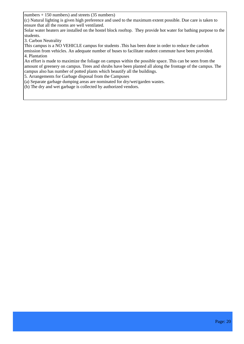numbers + 150 numbers) and streets (35 numbers)

(c) Natural lighting is given high preference and used to the maximum extent possible. Due care is taken to ensure that all the rooms are well ventilated.

Solar water heaters are installed on the hostel block rooftop. They provide hot water for bathing purpose to the students.

3. Carbon Neutrality

This campus is a NO VEHICLE campus for students .This has been done in order to reduce the carbon emission from vehicles. An adequate number of buses to facilitate student commute have been provided. 4. Plantation

An effort is made to maximize the foliage on campus within the possible space. This can be seen from the amount of greenery on campus. Trees and shrubs have been planted all along the frontage of the campus. The campus also has number of potted plants which beautify all the buildings.

5. Arrangements for Garbage disposal from the Campuses

(a) Separate garbage dumping areas are nominated for dry/wet/garden wastes.

(b) The dry and wet garbage is collected by authorized vendors.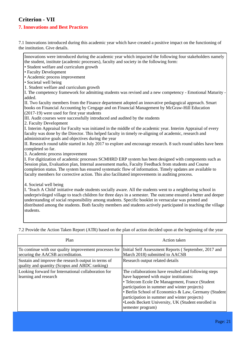# **Criterion - VII**

### **7. Innovations and Best Practices**

7.1 Innovations introduced during this academic year which have created a positive impact on the functioning of the institution. Give details.

Innovations were introduced during the academic year which impacted the following four stakeholders namely the student, institute (academic processes), faculty and society in the following form:

- Student welfare and curriculum growth
- Faculty Development

• Academic process improvement

- Societal well being
- 1. Student welfare and curriculum growth

I. The competency framework for admitting students was revised and a new competency - Emotional Maturity added.

II. Two faculty members from the Finance department adopted an innovative pedagogical approach. Smart books on Financial Accounting by Cengage and on Financial Management by McGraw-Hill Education (2017-19) were used for first year students

III. Audit courses were successfully introduced and audited by the students

2. Faculty Development

I. Interim Appraisal for Faculty was initiated in the middle of the academic year. Interim Appraisal of every faculty was done by the Director. This helped faculty in timely re-aligning of academic, research and administrative goals and objectives during the year

II. Research round table started in July 2017 to explore and encourage research. 8 such round tables have been completed so far.

3. Academic process improvement

I. For digitization of academic processes SCMHRD ERP system has been designed with components such as Session plan, Evaluation plan, Internal assessment marks, Faculty Feedback from students and Course completion status. The system has ensured systematic flow of information. Timely updates are available to faculty members for corrective action. This also facilitated improvements in auditing process.

4. Societal well being

I. 'Teach A Child' initiative made students socially aware. All the students went to a neighboring school in underprivileged village to teach children for three days in a semester. The outcome ensured a better and deeper understanding of social responsibility among students. Specific booklet in vernacular was printed and distributed among the students. Both faculty members and students actively participated in teaching the village students.

Plan Action taken To continue with our quality improvement processes for securing the AACSB accreditation. Initial Self Assessment Reports ( September, 2017 and March 2018) submitted to AACSB Sustain and improve the research output in terms of quality and quantity (Scopus and ABDC ranking) Research output related details Looking forward for International collaboration for learning and research The collaborations have resulted and following steps have happened with major institutions: • Telecom Ecole De Management, France (Student participation in summer and winter projects) • Berlin School of Economics & Law, Germany (Student participation in summer and winter projects) •Leeds Beckett University, UK (Student enrolled in semester program)

7.2 Provide the Action Taken Report (ATR) based on the plan of action decided upon at the beginning of the year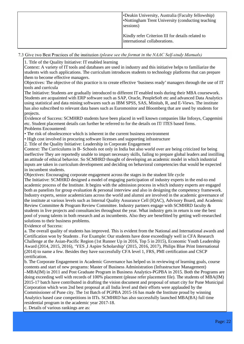| <b>-Deakin University, Australia (Faculty fellowship)</b><br>•Nottingham Trent University (conducting teaching<br>sessions) |
|-----------------------------------------------------------------------------------------------------------------------------|
| Kindly refer Criterion III for details related to<br>international collaborations.                                          |

7.3 Give two Best Practices of the institution (please see the format in the NAAC Self-study Manuals)

1. Title of the Quality Initiative: IT enabled learning

Context: A variety of IT tools and databases are used in industry and this initiative helps to familiarize the students with such applications. The curriculum introduces students to technology platforms that can prepare them to become effective managers.

Objectives: The objective of this practice is to create effective 'business ready' managers through the use of IT tools and curricula

The Initiative: Students are gradually introduced to different IT enabled tools during their MBA coursework. Students are acquainted with ERP software such as SAP, Oracle, PeopleSoft etc and advanced Data Analytics using statistical and data mining softwares such as IBM SPSS, SAS, Minitab, R, and E-Views. The institute has also subscribed to relevant data bases such as Euromonitor and Bloomberg that are used by students for projects.

Evidence of Success: SCMHRD students have been placed in well known companies like Infosys, Capgemini etc. Student placement details can further be referred to for the details on IT/ ITES based firms. Problems Encountered:

• The risk of obsolescence which is inherent in the current business environment

• High cost involved in procuring software licenses and supporting infrastructure

2. Title of the Quality Initiative: Leadership in Corporate Engagement

Context: The Curriculums in B- Schools not only in India but also world over are being criticized for being ineffective They are reportedly unable to impart necessary skills, failing to prepare global leaders and instilling an attitude of ethical behavior. So SCMHRD thought of developing an academic model in which industrial inputs are taken in curriculum development and deciding on behavioral competencies that would be expected in incumbent students.

Objectives: Encouraging corporate engagement across the stages in the student life cycle

The Initiative: SCMHRD designed a model of engaging participation of industry experts in the end-to end academic process of the Institute. It begins with the admission process in which industry experts are engaged both as panelists for group evaluation & personal interview and also in designing the competency framework. Industry experts, senior academicians across the world and alumni are involved in the academic governance of the institute at various levels such as Internal Quality Assurance Cell (IQAC), Advisory Board, and Academic Review Committee & Program Review Committee. Industry partners engage with SCMHRD faculty & students in live projects and consultancies throughout the year. What industry gets in return is one the best pool of young talents in both research and as incumbents. Also they are benefitted by getting well-researched solutions to their business problems.

Evidence of Success:

a. The overall quality of students has improved. This is evident from the National and International awards and Certification won by Students . For Example: Our students have done exceedingly well in CFA Research Challenge at the Asian-Pacific Region (1st Runner Up in 2016, Top 5 in 2015), Economic Youth Leadership Award (2014, 2015, 2016), 'YES ,I Aspire Scholarship' (2015, 2016, 2017), Philips Blue Print International (2014) to name a few. Besides they have successfully CFA level 1, FRS, PMI certification and CSCP certification.

b. The Corporate Engagement in Academic Governance has helped us in reviewing of learning goals, course contents and start of new programs: Master of Business Administration (Infrastructure Management) –MBA(IM) in 2011 and Post Graduate Program in Business Analytics-PGPBA in 2015. Both the Programs are doing exceeding well with records of 100% placement (please refer placement file). The students of MBA(IM) 2015-17 batch have contributed in drafting the vision document and proposal of smart city for Pune Municipal Corporation which won 2nd best proposal at all India level and their efforts were applauded by the Commissioner of Pune city. The 1st Batch of PGPBA 2015-16 has made the Institute proud by winning Analytics based case competitions in IITs. SCMHRD has also successfully launched MBA(BA) full time residential program in the academic year 2017-18.

c. Details of various rankings are as: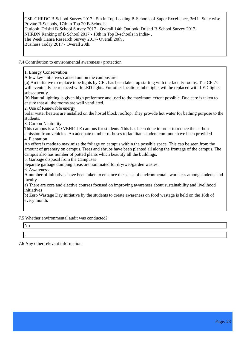CSR-GHRDC B-School Survey 2017 - 5th in Top Leading B-Schools of Super Excellence, 3rd in State wise Private B-Schools, 17th in Top 20 B-Schools, Outlook Drishti B-School Survey 2017 - Overall 14th Outlook Drishti B-School Survey 2017, NHRDN Ranking of B School 2017 - 18th in Top B-schools in India- , The Week Hansa Research Survey 2017- Overall 20th , Business Today 2017 - Overall 20th.

7.4 Contribution to environmental awareness / protection

1. Energy Conservation

A few key initiatives carried out on the campus are:

(a) An initiative to replace tube lights by CFL has been taken up starting with the faculty rooms. The CFL's will eventually be replaced with LED lights. For other locations tube lights will be replaced with LED lights subsequently.

(b) Natural lighting is given high preference and used to the maximum extent possible. Due care is taken to ensure that all the rooms are well ventilated.

2. Use of Renewable energy

Solar water heaters are installed on the hostel block rooftop. They provide hot water for bathing purpose to the students.

3. Carbon Neutrality

This campus is a NO VEHICLE campus for students .This has been done in order to reduce the carbon

emission from vehicles. An adequate number of buses to facilitate student commute have been provided. 4. Plantation

An effort is made to maximize the foliage on campus within the possible space. This can be seen from the amount of greenery on campus. Trees and shrubs have been planted all along the frontage of the campus. The campus also has number of potted plants which beautify all the buildings.

5. Garbage disposal from the Campuses

Separate garbage dumping areas are nominated for dry/wet/garden wastes.

6. Awareness

A number of initiatives have been taken to enhance the sense of environmental awareness among students and faculty.

a) There are core and elective courses focused on improving awareness about sustainability and livelihood initiatives

b) Zero Wastage Day initiative by the students to create awareness on food wastage is held on the 16th of every month.

7.5 Whether environmental audit was conducted?

No

-

7.6 Any other relevant information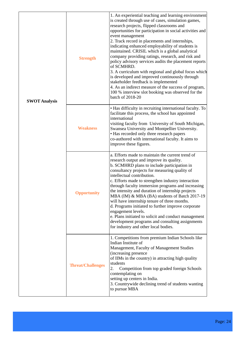| <b>Strength</b><br><b>SWOT Analysis</b><br><b>Weakness</b> |                          | 1. An experiential teaching and learning environment<br>is created through use of cases, simulation games,<br>research projects, flipped classrooms and<br>opportunities for participation in social activities and<br>event management<br>2. Track record in placements and internships,<br>indicating enhanced employability of students is<br>maintained. CRISIL which is a global analytical<br>company providing ratings, research, and risk and<br>policy advisory services audits the placement reports<br>of SCMHRD.<br>3. A curriculum with regional and global focus which<br>is developed and improved continuously through<br>stakeholder feedback is implemented<br>4. As an indirect measure of the success of program,<br>100 % interview slot booking was observed for the<br>batch of 2018-20 |
|------------------------------------------------------------|--------------------------|----------------------------------------------------------------------------------------------------------------------------------------------------------------------------------------------------------------------------------------------------------------------------------------------------------------------------------------------------------------------------------------------------------------------------------------------------------------------------------------------------------------------------------------------------------------------------------------------------------------------------------------------------------------------------------------------------------------------------------------------------------------------------------------------------------------|
|                                                            |                          | • Has difficulty in recruiting international faculty. To<br>facilitate this process, the school has appointed<br>international<br>visiting faculty from University of South Michigan,<br>Swansea University and Montpellier University.<br>• Has recorded only three research papers<br>co-authored with international faculty. It aims to<br>improve these figures.                                                                                                                                                                                                                                                                                                                                                                                                                                           |
|                                                            | <b>Opportunity</b>       | a. Efforts made to maintain the current trend of<br>research output and improve its quality.<br>b. SCMHRD plans to include participation in<br>consultancy projects for measuring quality of<br>intellectual contribution.<br>c. Efforts made to strengthen industry interaction<br>through faculty immersion programs and increasing<br>the intensity and duration of internship projects<br>MBA (IM) & MBA (BA) students of Batch 2017-19<br>will have internship tenure of three months.<br>d. Programs initiated to further improve corporate<br>engagement levels.<br>e. Plans initiated to solicit and conduct management<br>development programs and consulting assignments<br>for industry and other local bodies.                                                                                     |
|                                                            | <b>Threat/Challenges</b> | 1. Competitions from premium Indian Schools like<br>Indian Institute of<br>Management, Faculty of Management Studies<br>(increasing presence)<br>of IIMs in the country) in attracting high quality<br>students<br>2.<br>Competition from top graded foreign Schools<br>contemplating on<br>setting up centers in India.<br>3. Countrywide declining trend of students wanting<br>to pursue MBA                                                                                                                                                                                                                                                                                                                                                                                                                |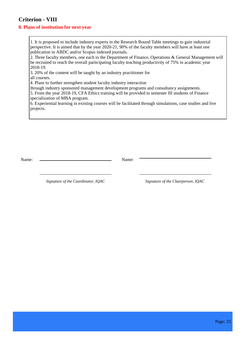# **Criterion - VIII**

#### **8. Plans of institution for next year**

1. It is proposed to include industry experts in the Research Round Table meetings to gain industrial perspective. It is aimed that by the year 2020-21, 90% of the faculty members will have at least one publication in ABDC and/or Scopus indexed journals.

2. Three faculty members, one each in the Department of Finance, Operations & General Management will be recruited to reach the overall participating faculty teaching productivity of 75% in academic year 2018-19.

3. 20% of the content will be taught by an industry practitioner for

all courses.

4. Plans to further strengthen student faculty industry interaction

through industry sponsored management development programs and consultancy assignments.

5. From the year 2018-19, CFA Ethics training will be provided to semester III students of Finance specialization of MBA program.

6. Experiential learning in existing courses will be facilitated through simulations, case studies and live projects.

Name: Name:

 *Signature of the Coordinator, IQAC Signature of the Chairperson, IQAC*